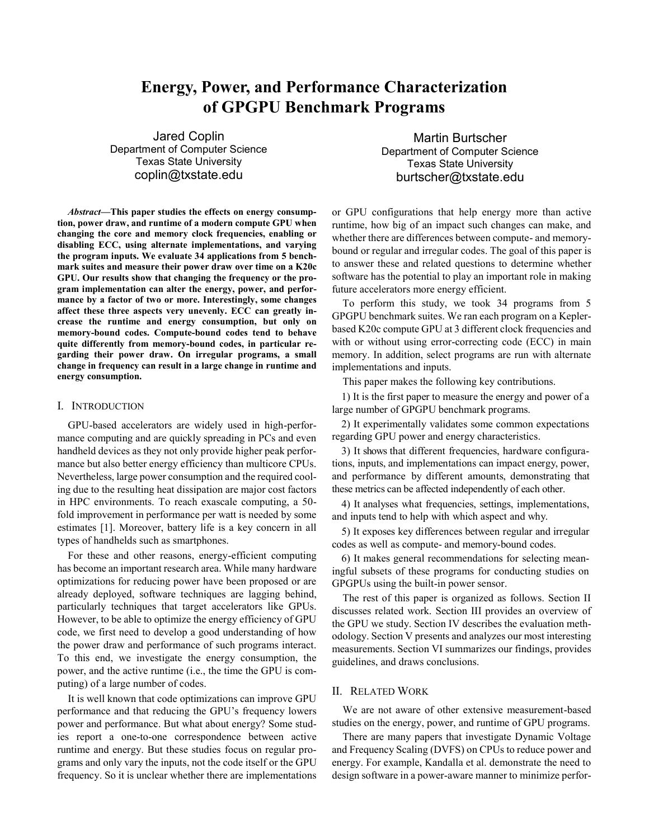# **Energy, Power, and Performance Characterization of GPGPU Benchmark Programs**

Jared Coplin Department of Computer Science Texas State University coplin@txstate.edu

*Abstract***—This paper studies the effects on energy consumption, power draw, and runtime of a modern compute GPU when changing the core and memory clock frequencies, enabling or disabling ECC, using alternate implementations, and varying the program inputs. We evaluate 34 applications from 5 benchmark suites and measure their power draw over time on a K20c GPU. Our results show that changing the frequency or the program implementation can alter the energy, power, and performance by a factor of two or more. Interestingly, some changes affect these three aspects very unevenly. ECC can greatly increase the runtime and energy consumption, but only on memory-bound codes. Compute-bound codes tend to behave quite differently from memory-bound codes, in particular regarding their power draw. On irregular programs, a small change in frequency can result in a large change in runtime and energy consumption.**

## I. INTRODUCTION

GPU-based accelerators are widely used in high-performance computing and are quickly spreading in PCs and even handheld devices as they not only provide higher peak performance but also better energy efficiency than multicore CPUs. Nevertheless, large power consumption and the required cooling due to the resulting heat dissipation are major cost factors in HPC environments. To reach exascale computing, a 50 fold improvement in performance per watt is needed by some estimates [1]. Moreover, battery life is a key concern in all types of handhelds such as smartphones.

For these and other reasons, energy-efficient computing has become an important research area. While many hardware optimizations for reducing power have been proposed or are already deployed, software techniques are lagging behind, particularly techniques that target accelerators like GPUs. However, to be able to optimize the energy efficiency of GPU code, we first need to develop a good understanding of how the power draw and performance of such programs interact. To this end, we investigate the energy consumption, the power, and the active runtime (i.e., the time the GPU is computing) of a large number of codes.

It is well known that code optimizations can improve GPU performance and that reducing the GPU's frequency lowers power and performance. But what about energy? Some studies report a one-to-one correspondence between active runtime and energy. But these studies focus on regular programs and only vary the inputs, not the code itself or the GPU frequency. So it is unclear whether there are implementations

Martin Burtscher Department of Computer Science Texas State University burtscher@txstate.edu

or GPU configurations that help energy more than active runtime, how big of an impact such changes can make, and whether there are differences between compute- and memorybound or regular and irregular codes. The goal of this paper is to answer these and related questions to determine whether software has the potential to play an important role in making future accelerators more energy efficient.

To perform this study, we took 34 programs from 5 GPGPU benchmark suites. We ran each program on a Keplerbased K20c compute GPU at 3 different clock frequencies and with or without using error-correcting code (ECC) in main memory. In addition, select programs are run with alternate implementations and inputs.

This paper makes the following key contributions.

1) It is the first paper to measure the energy and power of a large number of GPGPU benchmark programs.

2) It experimentally validates some common expectations regarding GPU power and energy characteristics.

3) It shows that different frequencies, hardware configurations, inputs, and implementations can impact energy, power, and performance by different amounts, demonstrating that these metrics can be affected independently of each other.

4) It analyses what frequencies, settings, implementations, and inputs tend to help with which aspect and why.

5) It exposes key differences between regular and irregular codes as well as compute- and memory-bound codes.

6) It makes general recommendations for selecting meaningful subsets of these programs for conducting studies on GPGPUs using the built-in power sensor.

The rest of this paper is organized as follows. Section II discusses related work. Section III provides an overview of the GPU we study. Section IV describes the evaluation methodology. Section V presents and analyzes our most interesting measurements. Section VI summarizes our findings, provides guidelines, and draws conclusions.

#### II. RELATED WORK

We are not aware of other extensive measurement-based studies on the energy, power, and runtime of GPU programs.

There are many papers that investigate Dynamic Voltage and Frequency Scaling (DVFS) on CPUs to reduce power and energy. For example, Kandalla et al. demonstrate the need to design software in a power-aware manner to minimize perfor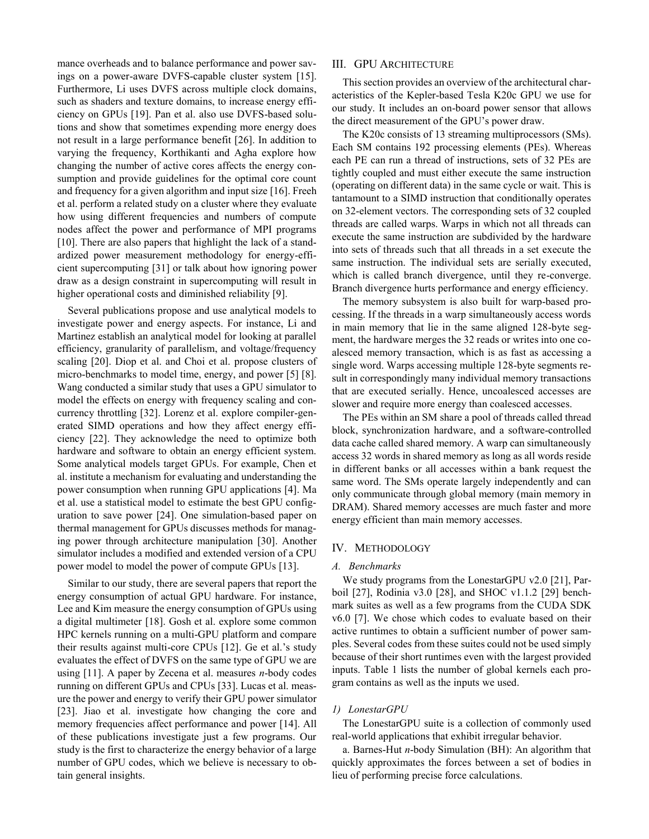mance overheads and to balance performance and power savings on a power-aware DVFS-capable cluster system [\[15\].](#page-9-0) Furthermore, Li uses DVFS across multiple clock domains, such as shaders and texture domains, to increase energy efficiency on GPUs [19]. Pan et al. also use DVFS-based solutions and show that sometimes expending more energy does not result in a large performance benefit [\[26\].](#page-9-1) In addition to varying the frequency, Korthikanti and Agha explore how changing the number of active cores affects the energy consumption and provide guidelines for the optimal core count and frequency for a given algorithm and input size [\[16\].](#page-9-2) Freeh et al. perform a related study on a cluster where they evaluate how using different frequencies and numbers of compute nodes affect the power and performance of MPI programs [\[10\].](#page-9-3) There are also papers that highlight the lack of a standardized power measurement methodology for energy-efficient supercomputing [\[31\]](#page-9-4) or talk about how ignoring power draw as a design constraint in supercomputing will result in higher operational costs and diminished reliability [\[9\].](#page-9-5)

Several publications propose and use analytical models to investigate power and energy aspects. For instance, Li and Martinez establish an analytical model for looking at parallel efficiency, granularity of parallelism, and voltage/frequency scaling [\[20\].](#page-9-6) Diop et al. and Choi et al. propose clusters of micro-benchmarks to model time, energy, and power [5] [8]. Wang conducted a similar study that uses a GPU simulator to model the effects on energy with frequency scaling and concurrency throttling [\[32\].](#page-9-7) Lorenz et al. explore compiler-generated SIMD operations and how they affect energy efficiency [\[22\].](#page-9-8) They acknowledge the need to optimize both hardware and software to obtain an energy efficient system. Some analytical models target GPUs. For example, Chen et al. institute a mechanism for evaluating and understanding the power consumption when running GPU applications [\[4\].](#page-9-9) Ma et al. use a statistical model to estimate the best GPU configuration to save power [\[24\].](#page-9-10) One simulation-based paper on thermal management for GPUs discusses methods for managing power through architecture manipulation [\[30\].](#page-9-11) Another simulator includes a modified and extended version of a CPU power model to model the power of compute GPUs [\[13\].](#page-9-12)

Similar to our study, there are several papers that report the energy consumption of actual GPU hardware. For instance, Lee and Kim measure the energy consumption of GPUs using a digital multimeter [18]. Gosh et al. explore some common HPC kernels running on a multi-GPU platform and compare their results against multi-core CPUs [\[12\]](#page-9-13). Ge et al.'s study evaluates the effect of DVFS on the same type of GPU we are using [\[11\].](#page-9-14) A paper by Zecena et al. measures *n*-body codes running on different GPUs and CPUs [\[33\].](#page-9-15) Lucas et al. measure the power and energy to verify their GPU power simulator [\[23\].](#page-9-16) Jiao et al. investigate how changing the core and memory frequencies affect performance and power [14]. All of these publications investigate just a few programs. Our study is the first to characterize the energy behavior of a large number of GPU codes, which we believe is necessary to obtain general insights.

## III. GPU ARCHITECTURE

This section provides an overview of the architectural characteristics of the Kepler-based Tesla K20c GPU we use for our study. It includes an on-board power sensor that allows the direct measurement of the GPU's power draw.

The K20c consists of 13 streaming multiprocessors (SMs). Each SM contains 192 processing elements (PEs). Whereas each PE can run a thread of instructions, sets of 32 PEs are tightly coupled and must either execute the same instruction (operating on different data) in the same cycle or wait. This is tantamount to a SIMD instruction that conditionally operates on 32-element vectors. The corresponding sets of 32 coupled threads are called warps. Warps in which not all threads can execute the same instruction are subdivided by the hardware into sets of threads such that all threads in a set execute the same instruction. The individual sets are serially executed, which is called branch divergence, until they re-converge. Branch divergence hurts performance and energy efficiency.

The memory subsystem is also built for warp-based processing. If the threads in a warp simultaneously access words in main memory that lie in the same aligned 128-byte segment, the hardware merges the 32 reads or writes into one coalesced memory transaction, which is as fast as accessing a single word. Warps accessing multiple 128-byte segments result in correspondingly many individual memory transactions that are executed serially. Hence, uncoalesced accesses are slower and require more energy than coalesced accesses.

The PEs within an SM share a pool of threads called thread block, synchronization hardware, and a software-controlled data cache called shared memory. A warp can simultaneously access 32 words in shared memory as long as all words reside in different banks or all accesses within a bank request the same word. The SMs operate largely independently and can only communicate through global memory (main memory in DRAM). Shared memory accesses are much faster and more energy efficient than main memory accesses.

## IV. METHODOLOGY

#### *A. Benchmarks*

We study programs from the LonestarGPU v2.0 [\[21\],](#page-9-17) Parboil [\[27\],](#page-9-18) Rodinia v3.0 [\[28\],](#page-9-19) and SHOC v1.1.2 [\[29\]](#page-9-20) benchmark suites as well as a few programs from the CUDA SDK v6.0 [\[7\].](#page-9-21) We chose which codes to evaluate based on their active runtimes to obtain a sufficient number of power samples. Several codes from these suites could not be used simply because of their short runtimes even with the largest provided inputs. Table 1 lists the number of global kernels each program contains as well as the inputs we used.

## *1) LonestarGPU*

The LonestarGPU suite is a collection of commonly used real-world applications that exhibit irregular behavior.

a. Barnes-Hut *n*-body Simulation (BH): An algorithm that quickly approximates the forces between a set of bodies in lieu of performing precise force calculations.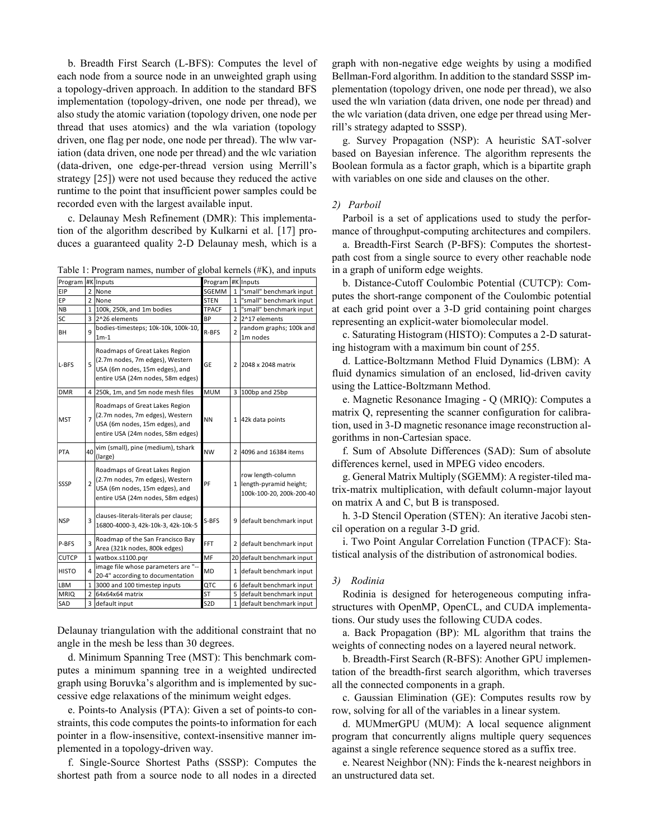b. Breadth First Search (L-BFS): Computes the level of each node from a source node in an unweighted graph using a topology-driven approach. In addition to the standard BFS implementation (topology-driven, one node per thread), we also study the atomic variation (topology driven, one node per thread that uses atomics) and the wla variation (topology driven, one flag per node, one node per thread). The wlw variation (data driven, one node per thread) and the wlc variation (data-driven, one edge-per-thread version using Merrill's strategy [\[25\]\)](#page-9-22) were not used because they reduced the active runtime to the point that insufficient power samples could be recorded even with the largest available input.

c. Delaunay Mesh Refinement (DMR): This implementation of the algorithm described by Kulkarni et al. [\[17\]](#page-9-23) produces a guaranteed quality 2-D Delaunay mesh, which is a

Table 1: Program names, number of global kernels (#K), and inputs

| Program     |                          | #K Inputs                                                                                                                                | Program #K Inputs |                |                                                                           |
|-------------|--------------------------|------------------------------------------------------------------------------------------------------------------------------------------|-------------------|----------------|---------------------------------------------------------------------------|
| EIP         | $\overline{2}$           | None                                                                                                                                     | SGEMM             | $\mathbf{1}$   | "small" benchmark input                                                   |
| EP          |                          | 2 None                                                                                                                                   | <b>STEN</b>       | $\mathbf{1}$   | "small" benchmark input                                                   |
| NB          | $\mathbf{1}$             | 100k, 250k, and 1m bodies                                                                                                                | <b>TPACF</b>      | $\mathbf{1}$   | "small" benchmark input                                                   |
| SC          | 3                        | 2^26 elements                                                                                                                            | <b>BP</b>         | $\overline{2}$ | 2^17 elements                                                             |
| BН          | q                        | bodies-timesteps; 10k-10k, 100k-10,                                                                                                      | R-BFS             | $\mathfrak{p}$ | random graphs; 100k and                                                   |
|             |                          | $1m-1$                                                                                                                                   |                   |                | 1 <sub>m</sub> nodes                                                      |
| L-BFS       | $\overline{\phantom{a}}$ | Roadmaps of Great Lakes Region<br>(2.7m nodes, 7m edges), Western<br>USA (6m nodes, 15m edges), and<br>entire USA (24m nodes, 58m edges) | GE                | $\mathcal{P}$  | 2048 x 2048 matrix                                                        |
| DMR         |                          | 4 250k, 1m, and 5m node mesh files                                                                                                       | <b>MUM</b>        | 3              | 100bp and 25bp                                                            |
| <b>MST</b>  | $\overline{7}$           | Roadmaps of Great Lakes Region<br>(2.7m nodes, 7m edges), Western<br>USA (6m nodes, 15m edges), and<br>entire USA (24m nodes, 58m edges) | <b>NN</b>         |                | 1 42k data points                                                         |
| PTA         | 40                       | vim (small), pine (medium), tshark<br>(large)                                                                                            | <b>NW</b>         | $\mathcal{P}$  | 4096 and 16384 items                                                      |
| SSSP        | $\overline{2}$           | Roadmaps of Great Lakes Region<br>(2.7m nodes, 7m edges), Western<br>USA (6m nodes, 15m edges), and<br>entire USA (24m nodes, 58m edges) | PF                |                | row length-column<br>1 length-pyramid height;<br>100k-100-20, 200k-200-40 |
| <b>NSP</b>  | 3                        | clauses-literals-literals per clause;<br>16800-4000-3, 42k-10k-3, 42k-10k-5                                                              | S-BFS             | 9              | default benchmark input                                                   |
| P-BFS       | 3                        | Roadmap of the San Francisco Bay<br>Area (321k nodes, 800k edges)                                                                        | FFT               | 2              | default benchmark input                                                   |
| CUTCP       | $\mathbf{1}$             | watbox.s1100.pqr                                                                                                                         | MF                |                | 20 default benchmark input                                                |
| HISTO       | 4                        | image file whose parameters are "--<br>20-4" according to documentation                                                                  | MD                | 1              | default benchmark input                                                   |
| LBM         | 1                        | 3000 and 100 timestep inputs                                                                                                             | QTC               |                | 6 default benchmark input                                                 |
| <b>MRIQ</b> | 2                        | 64x64x64 matrix                                                                                                                          | <b>ST</b>         | 5              | default benchmark input                                                   |
| SAD         | 3                        | default input                                                                                                                            | S <sub>2</sub> D  | $\mathbf{1}$   | default benchmark input                                                   |

Delaunay triangulation with the additional constraint that no angle in the mesh be less than 30 degrees.

d. Minimum Spanning Tree (MST): This benchmark computes a minimum spanning tree in a weighted undirected graph using Boruvka's algorithm and is implemented by successive edge relaxations of the minimum weight edges.

e. Points-to Analysis (PTA): Given a set of points-to constraints, this code computes the points-to information for each pointer in a flow-insensitive, context-insensitive manner implemented in a topology-driven way.

f. Single-Source Shortest Paths (SSSP): Computes the shortest path from a source node to all nodes in a directed graph with non-negative edge weights by using a modified Bellman-Ford algorithm. In addition to the standard SSSP implementation (topology driven, one node per thread), we also used the wln variation (data driven, one node per thread) and the wlc variation (data driven, one edge per thread using Merrill's strategy adapted to SSSP).

g. Survey Propagation (NSP): A heuristic SAT-solver based on Bayesian inference. The algorithm represents the Boolean formula as a factor graph, which is a bipartite graph with variables on one side and clauses on the other.

#### *2) Parboil*

Parboil is a set of applications used to study the performance of throughput-computing architectures and compilers.

a. Breadth-First Search (P-BFS): Computes the shortestpath cost from a single source to every other reachable node in a graph of uniform edge weights.

b. Distance-Cutoff Coulombic Potential (CUTCP): Computes the short-range component of the Coulombic potential at each grid point over a 3-D grid containing point charges representing an explicit-water biomolecular model.

c. Saturating Histogram (HISTO): Computes a 2-D saturating histogram with a maximum bin count of 255.

d. Lattice-Boltzmann Method Fluid Dynamics (LBM): A fluid dynamics simulation of an enclosed, lid-driven cavity using the Lattice-Boltzmann Method.

e. Magnetic Resonance Imaging - Q (MRIQ): Computes a matrix Q, representing the scanner configuration for calibration, used in 3-D magnetic resonance image reconstruction algorithms in non-Cartesian space.

f. Sum of Absolute Differences (SAD): Sum of absolute differences kernel, used in MPEG video encoders.

g. General Matrix Multiply (SGEMM): A register-tiled matrix-matrix multiplication, with default column-major layout on matrix A and C, but B is transposed.

h. 3-D Stencil Operation (STEN): An iterative Jacobi stencil operation on a regular 3-D grid.

i. Two Point Angular Correlation Function (TPACF): Statistical analysis of the distribution of astronomical bodies.

#### *3) Rodinia*

Rodinia is designed for heterogeneous computing infrastructures with OpenMP, OpenCL, and CUDA implementations. Our study uses the following CUDA codes.

a. Back Propagation (BP): ML algorithm that trains the weights of connecting nodes on a layered neural network.

b. Breadth-First Search (R-BFS): Another GPU implementation of the breadth-first search algorithm, which traverses all the connected components in a graph.

c. Gaussian Elimination (GE): Computes results row by row, solving for all of the variables in a linear system.

d. MUMmerGPU (MUM): A local sequence alignment program that concurrently aligns multiple query sequences against a single reference sequence stored as a suffix tree.

e. Nearest Neighbor (NN): Finds the k-nearest neighbors in an unstructured data set.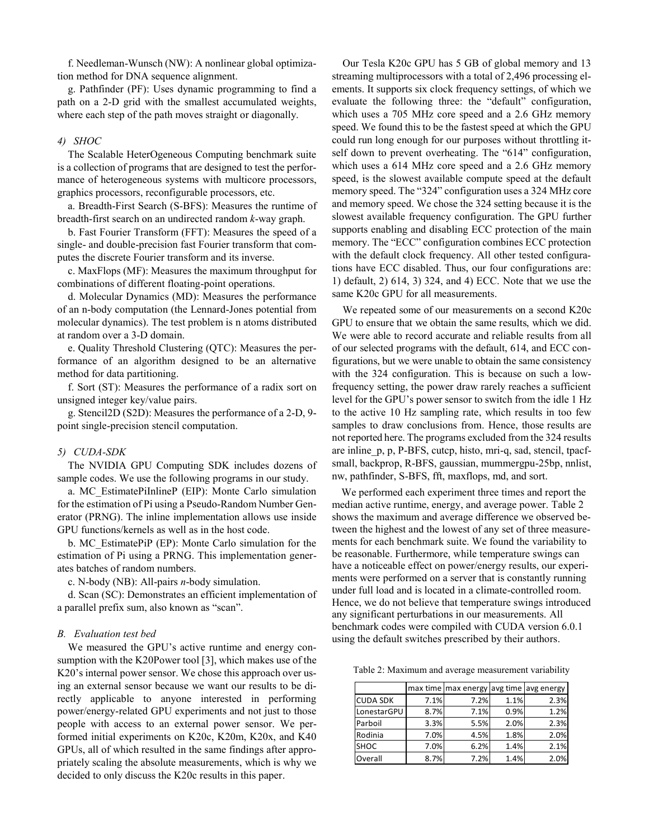f. Needleman-Wunsch (NW): A nonlinear global optimization method for DNA sequence alignment.

g. Pathfinder (PF): Uses dynamic programming to find a path on a 2-D grid with the smallest accumulated weights, where each step of the path moves straight or diagonally.

## *4) SHOC*

The Scalable HeterOgeneous Computing benchmark suite is a collection of programs that are designed to test the performance of heterogeneous systems with multicore processors, graphics processors, reconfigurable processors, etc.

a. Breadth-First Search (S-BFS): Measures the runtime of breadth-first search on an undirected random *k*-way graph.

b. Fast Fourier Transform (FFT): Measures the speed of a single- and double-precision fast Fourier transform that computes the discrete Fourier transform and its inverse.

c. MaxFlops (MF): Measures the maximum throughput for combinations of different floating-point operations.

d. Molecular Dynamics (MD): Measures the performance of an n-body computation (the Lennard-Jones potential from molecular dynamics). The test problem is n atoms distributed at random over a 3-D domain.

e. Quality Threshold Clustering (QTC): Measures the performance of an algorithm designed to be an alternative method for data partitioning.

f. Sort (ST): Measures the performance of a radix sort on unsigned integer key/value pairs.

g. Stencil2D (S2D): Measures the performance of a 2-D, 9 point single-precision stencil computation.

#### *5) CUDA-SDK*

The NVIDIA GPU Computing SDK includes dozens of sample codes. We use the following programs in our study.

a. MC\_EstimatePiInlineP (EIP): Monte Carlo simulation for the estimation of Pi using a Pseudo-Random Number Generator (PRNG). The inline implementation allows use inside GPU functions/kernels as well as in the host code.

b. MC\_EstimatePiP (EP): Monte Carlo simulation for the estimation of Pi using a PRNG. This implementation generates batches of random numbers.

c. N-body (NB): All-pairs *n*-body simulation.

d. Scan (SC): Demonstrates an efficient implementation of a parallel prefix sum, also known as "scan".

## *B. Evaluation test bed*

We measured the GPU's active runtime and energy consumption with the K20Power too[l \[3\],](#page-9-24) which makes use of the K20's internal power sensor. We chose this approach over using an external sensor because we want our results to be directly applicable to anyone interested in performing power/energy-related GPU experiments and not just to those people with access to an external power sensor. We performed initial experiments on K20c, K20m, K20x, and K40 GPUs, all of which resulted in the same findings after appropriately scaling the absolute measurements, which is why we decided to only discuss the K20c results in this paper.

Our Tesla K20c GPU has 5 GB of global memory and 13 streaming multiprocessors with a total of 2,496 processing elements. It supports six clock frequency settings, of which we evaluate the following three: the "default" configuration, which uses a 705 MHz core speed and a 2.6 GHz memory speed. We found this to be the fastest speed at which the GPU could run long enough for our purposes without throttling itself down to prevent overheating. The "614" configuration, which uses a 614 MHz core speed and a 2.6 GHz memory speed, is the slowest available compute speed at the default memory speed. The "324" configuration uses a 324 MHz core and memory speed. We chose the 324 setting because it is the slowest available frequency configuration. The GPU further supports enabling and disabling ECC protection of the main memory. The "ECC" configuration combines ECC protection with the default clock frequency. All other tested configurations have ECC disabled. Thus, our four configurations are: 1) default, 2) 614, 3) 324, and 4) ECC. Note that we use the same K20c GPU for all measurements.

We repeated some of our measurements on a second K20c GPU to ensure that we obtain the same results, which we did. We were able to record accurate and reliable results from all of our selected programs with the default, 614, and ECC configurations, but we were unable to obtain the same consistency with the 324 configuration. This is because on such a lowfrequency setting, the power draw rarely reaches a sufficient level for the GPU's power sensor to switch from the idle 1 Hz to the active 10 Hz sampling rate, which results in too few samples to draw conclusions from. Hence, those results are not reported here. The programs excluded from the 324 results are inline\_p, p, P-BFS, cutcp, histo, mri-q, sad, stencil, tpacfsmall, backprop, R-BFS, gaussian, mummergpu-25bp, nnlist, nw, pathfinder, S-BFS, fft, maxflops, md, and sort.

We performed each experiment three times and report the median active runtime, energy, and average power. Table 2 shows the maximum and average difference we observed between the highest and the lowest of any set of three measurements for each benchmark suite. We found the variability to be reasonable. Furthermore, while temperature swings can have a noticeable effect on power/energy results, our experiments were performed on a server that is constantly running under full load and is located in a climate-controlled room. Hence, we do not believe that temperature swings introduced any significant perturbations in our measurements. All benchmark codes were compiled with CUDA version 6.0.1 using the default switches prescribed by their authors.

Table 2: Maximum and average measurement variability

|                 |      | max time max energy avg time avg energy |      |      |
|-----------------|------|-----------------------------------------|------|------|
| <b>CUDA SDK</b> | 7.1% | 7.2%                                    | 1.1% | 2.3% |
| LonestarGPU     | 8.7% | 7.1%                                    | 0.9% | 1.2% |
| Parboil         | 3.3% | 5.5%                                    | 2.0% | 2.3% |
| Rodinia         | 7.0% | 4.5%                                    | 1.8% | 2.0% |
| <b>SHOC</b>     | 7.0% | 6.2%                                    | 1.4% | 2.1% |
| Overall         | 8.7% | 7.2%                                    | 1.4% | 2.0% |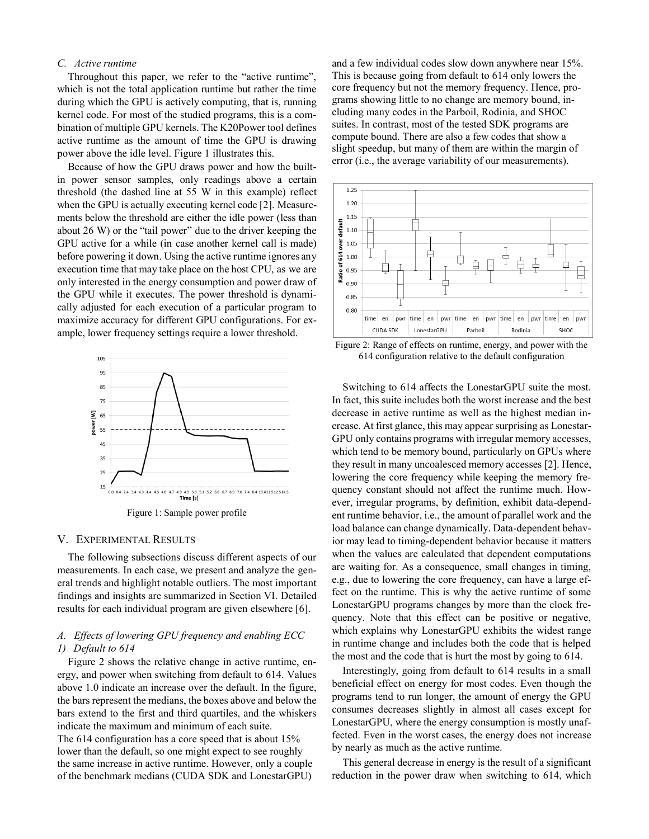## *C. Active runtime*

Throughout this paper, we refer to the "active runtime", which is not the total application runtime but rather the time during which the GPU is actively computing, that is, running kernel code. For most of the studied programs, this is a combination of multiple GPU kernels. The K20Power tool defines active runtime as the amount of time the GPU is drawing power above the idle level. Figure 1 illustrates this.

Because of how the GPU draws power and how the builtin power sensor samples, only readings above a certain threshold (the dashed line at 55 W in this example) reflect when the GPU is actually executing kernel code [2]. Measurements below the threshold are either the idle power (less than about 26 W) or the "tail power" due to the driver keeping the GPU active for a while (in case another kernel call is made) before powering it down. Using the active runtime ignores any execution time that may take place on the host CPU, as we are only interested in the energy consumption and power draw of the GPU while it executes. The power threshold is dynamically adjusted for each execution of a particular program to maximize accuracy for different GPU configurations. For example, lower frequency settings require a lower threshold.



Figure 1: Sample power profile

#### V. EXPERIMENTAL RESULTS

The following subsections discuss different aspects of our measurements. In each case, we present and analyze the general trends and highlight notable outliers. The most important findings and insights are summarized in Section VI. Detailed results for each individual program are given elsewhere [6].

## *A. Effects of lowering GPU frequency and enabling ECC 1) Default to 614*

[Figure 2](#page-4-0) shows the relative change in active runtime, energy, and power when switching from default to 614. Values above 1.0 indicate an increase over the default. In the figure, the bars represent the medians, the boxes above and below the bars extend to the first and third quartiles, and the whiskers indicate the maximum and minimum of each suite.

The 614 configuration has a core speed that is about 15% lower than the default, so one might expect to see roughly the same increase in active runtime. However, only a couple of the benchmark medians (CUDA SDK and LonestarGPU)

and a few individual codes slow down anywhere near 15%. This is because going from default to 614 only lowers the core frequency but not the memory frequency. Hence, programs showing little to no change are memory bound, including many codes in the Parboil, Rodinia, and SHOC suites. In contrast, most of the tested SDK programs are compute bound. There are also a few codes that show a slight speedup, but many of them are within the margin of error (i.e., the average variability of our measurements).



<span id="page-4-0"></span>Figure 2: Range of effects on runtime, energy, and power with the 614 configuration relative to the default configuration

Switching to 614 affects the LonestarGPU suite the most. In fact, this suite includes both the worst increase and the best decrease in active runtime as well as the highest median increase. At first glance, this may appear surprising as Lonestar-GPU only contains programs with irregular memory accesses, which tend to be memory bound, particularly on GPUs where they result in many uncoalesced memory accesse[s \[2\].](#page-9-25) Hence, lowering the core frequency while keeping the memory frequency constant should not affect the runtime much. However, irregular programs, by definition, exhibit data-dependent runtime behavior, i.e., the amount of parallel work and the load balance can change dynamically. Data-dependent behavior may lead to timing-dependent behavior because it matters when the values are calculated that dependent computations are waiting for. As a consequence, small changes in timing, e.g., due to lowering the core frequency, can have a large effect on the runtime. This is why the active runtime of some LonestarGPU programs changes by more than the clock frequency. Note that this effect can be positive or negative, which explains why LonestarGPU exhibits the widest range in runtime change and includes both the code that is helped the most and the code that is hurt the most by going to 614.

Interestingly, going from default to 614 results in a small beneficial effect on energy for most codes. Even though the programs tend to run longer, the amount of energy the GPU consumes decreases slightly in almost all cases except for LonestarGPU, where the energy consumption is mostly unaffected. Even in the worst cases, the energy does not increase by nearly as much as the active runtime.

This general decrease in energy is the result of a significant reduction in the power draw when switching to 614, which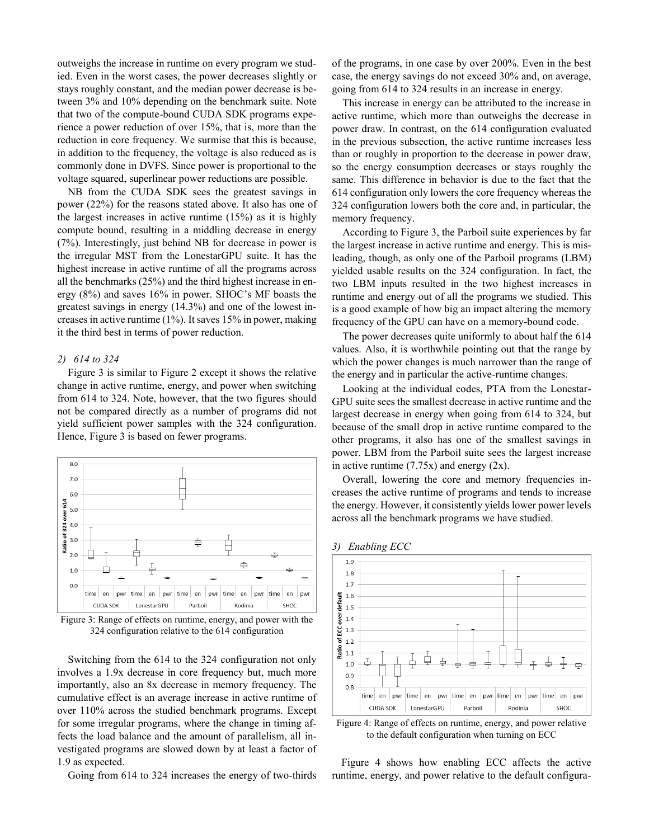outweighs the increase in runtime on every program we studied. Even in the worst cases, the power decreases slightly or stays roughly constant, and the median power decrease is between 3% and 10% depending on the benchmark suite. Note that two of the compute-bound CUDA SDK programs experience a power reduction of over 15%, that is, more than the reduction in core frequency. We surmise that this is because, in addition to the frequency, the voltage is also reduced as is commonly done in DVFS. Since power is proportional to the voltage squared, superlinear power reductions are possible.

NB from the CUDA SDK sees the greatest savings in power (22%) for the reasons stated above. It also has one of the largest increases in active runtime (15%) as it is highly compute bound, resulting in a middling decrease in energy (7%). Interestingly, just behind NB for decrease in power is the irregular MST from the LonestarGPU suite. It has the highest increase in active runtime of all the programs across all the benchmarks (25%) and the third highest increase in energy (8%) and saves 16% in power. SHOC's MF boasts the greatest savings in energy (14.3%) and one of the lowest increases in active runtime (1%). It saves 15% in power, making it the third best in terms of power reduction.

## *2) 614 to 324*

[Figure 3](#page-5-0) is similar to [Figure 2](#page-4-0) except it shows the relative change in active runtime, energy, and power when switching from 614 to 324. Note, however, that the two figures should not be compared directly as a number of programs did not yield sufficient power samples with the 324 configuration. Hence, [Figure 3](#page-5-0) is based on fewer programs.



<span id="page-5-0"></span>Figure 3: Range of effects on runtime, energy, and power with the 324 configuration relative to the 614 configuration

Switching from the 614 to the 324 configuration not only involves a 1.9x decrease in core frequency but, much more importantly, also an 8x decrease in memory frequency. The cumulative effect is an average increase in active runtime of over 110% across the studied benchmark programs. Except for some irregular programs, where the change in timing affects the load balance and the amount of parallelism, all investigated programs are slowed down by at least a factor of 1.9 as expected.

Going from 614 to 324 increases the energy of two-thirds

of the programs, in one case by over 200%. Even in the best case, the energy savings do not exceed 30% and, on average, going from 614 to 324 results in an increase in energy.

This increase in energy can be attributed to the increase in active runtime, which more than outweighs the decrease in power draw. In contrast, on the 614 configuration evaluated in the previous subsection, the active runtime increases less than or roughly in proportion to the decrease in power draw, so the energy consumption decreases or stays roughly the same. This difference in behavior is due to the fact that the 614 configuration only lowers the core frequency whereas the 324 configuration lowers both the core and, in particular, the memory frequency.

According to [Figure 3,](#page-5-0) the Parboil suite experiences by far the largest increase in active runtime and energy. This is misleading, though, as only one of the Parboil programs (LBM) yielded usable results on the 324 configuration. In fact, the two LBM inputs resulted in the two highest increases in runtime and energy out of all the programs we studied. This is a good example of how big an impact altering the memory frequency of the GPU can have on a memory-bound code.

The power decreases quite uniformly to about half the 614 values. Also, it is worthwhile pointing out that the range by which the power changes is much narrower than the range of the energy and in particular the active-runtime changes.

Looking at the individual codes, PTA from the Lonestar-GPU suite sees the smallest decrease in active runtime and the largest decrease in energy when going from 614 to 324, but because of the small drop in active runtime compared to the other programs, it also has one of the smallest savings in power. LBM from the Parboil suite sees the largest increase in active runtime  $(7.75x)$  and energy  $(2x)$ .

Overall, lowering the core and memory frequencies increases the active runtime of programs and tends to increase the energy. However, it consistently yields lower power levels across all the benchmark programs we have studied.





Figure 4: Range of effects on runtime, energy, and power relative to the default configuration when turning on ECC

Figure 4 shows how enabling ECC affects the active runtime, energy, and power relative to the default configura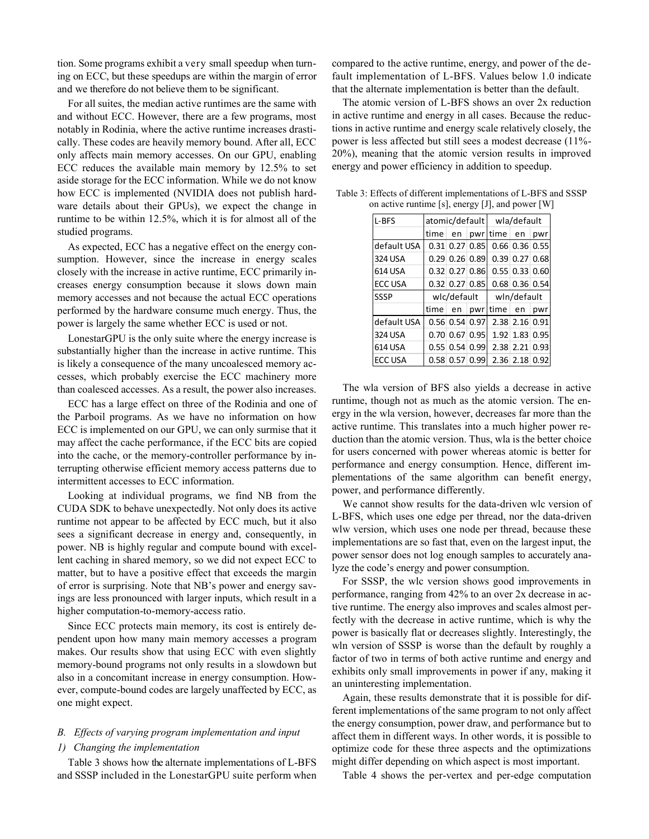tion. Some programs exhibit a very small speedup when turning on ECC, but these speedups are within the margin of error and we therefore do not believe them to be significant.

For all suites, the median active runtimes are the same with and without ECC. However, there are a few programs, most notably in Rodinia, where the active runtime increases drastically. These codes are heavily memory bound. After all, ECC only affects main memory accesses. On our GPU, enabling ECC reduces the available main memory by 12.5% to set aside storage for the ECC information. While we do not know how ECC is implemented (NVIDIA does not publish hardware details about their GPUs), we expect the change in runtime to be within 12.5%, which it is for almost all of the studied programs.

As expected, ECC has a negative effect on the energy consumption. However, since the increase in energy scales closely with the increase in active runtime, ECC primarily increases energy consumption because it slows down main memory accesses and not because the actual ECC operations performed by the hardware consume much energy. Thus, the power is largely the same whether ECC is used or not.

LonestarGPU is the only suite where the energy increase is substantially higher than the increase in active runtime. This is likely a consequence of the many uncoalesced memory accesses, which probably exercise the ECC machinery more than coalesced accesses. As a result, the power also increases.

ECC has a large effect on three of the Rodinia and one of the Parboil programs. As we have no information on how ECC is implemented on our GPU, we can only surmise that it may affect the cache performance, if the ECC bits are copied into the cache, or the memory-controller performance by interrupting otherwise efficient memory access patterns due to intermittent accesses to ECC information.

Looking at individual programs, we find NB from the CUDA SDK to behave unexpectedly. Not only does its active runtime not appear to be affected by ECC much, but it also sees a significant decrease in energy and, consequently, in power. NB is highly regular and compute bound with excellent caching in shared memory, so we did not expect ECC to matter, but to have a positive effect that exceeds the margin of error is surprising. Note that NB's power and energy savings are less pronounced with larger inputs, which result in a higher computation-to-memory-access ratio.

Since ECC protects main memory, its cost is entirely dependent upon how many main memory accesses a program makes. Our results show that using ECC with even slightly memory-bound programs not only results in a slowdown but also in a concomitant increase in energy consumption. However, compute-bound codes are largely unaffected by ECC, as one might expect.

# *B. Effects of varying program implementation and input 1) Changing the implementation*

Table 3 shows how the alternate implementations of L-BFS and SSSP included in the LonestarGPU suite perform when compared to the active runtime, energy, and power of the default implementation of L-BFS. Values below 1.0 indicate that the alternate implementation is better than the default.

The atomic version of L-BFS shows an over 2x reduction in active runtime and energy in all cases. Because the reductions in active runtime and energy scale relatively closely, the power is less affected but still sees a modest decrease (11%- 20%), meaning that the atomic version results in improved energy and power efficiency in addition to speedup.

| $\mu$ active running $\sigma$ , energy $\sigma$ , and power $\mu$ |                              |                  |  |                         |                  |  |
|-------------------------------------------------------------------|------------------------------|------------------|--|-------------------------|------------------|--|
| L-BFS                                                             | atomic/default   wla/default |                  |  |                         |                  |  |
|                                                                   |                              |                  |  | time en pwritime en pwr |                  |  |
| default USA                                                       |                              | $0.31$ 0.27 0.85 |  |                         | $0.66$ 0.36 0.55 |  |
| 324 USA                                                           |                              | $0.29$ 0.26 0.89 |  |                         | $0.39$ 0.27 0.68 |  |
| 614 USA                                                           |                              | $0.32$ 0.27 0.86 |  |                         | $0.55$ 0.33 0.60 |  |
| ECC USA                                                           |                              | $0.32$ 0.27 0.85 |  |                         | $0.68$ 0.36 0.54 |  |
| SSSP                                                              | wlc/default                  |                  |  | wln/default             |                  |  |
|                                                                   |                              |                  |  | time en pwritime en pwr |                  |  |
| default USA                                                       |                              | $0.56$ 0.54 0.97 |  |                         | 2.38 2.16 0.91   |  |
| 324 USA                                                           |                              | $0.70$ 0.67 0.95 |  |                         | 1.92 1.83 0.95   |  |
| 614 USA                                                           |                              | $0.55$ 0.54 0.99 |  |                         | 2.38 2.21 0.93   |  |
| ECC USA                                                           |                              | $0.58$ 0.57 0.99 |  |                         | 2.36 2.18 0.92   |  |

Table 3: Effects of different implementations of L-BFS and SSSP on active runtime [s], energy [J], and power [W]

The wla version of BFS also yields a decrease in active runtime, though not as much as the atomic version. The energy in the wla version, however, decreases far more than the active runtime. This translates into a much higher power reduction than the atomic version. Thus, wla is the better choice for users concerned with power whereas atomic is better for performance and energy consumption. Hence, different implementations of the same algorithm can benefit energy, power, and performance differently.

We cannot show results for the data-driven wlc version of L-BFS, which uses one edge per thread, nor the data-driven wlw version, which uses one node per thread, because these implementations are so fast that, even on the largest input, the power sensor does not log enough samples to accurately analyze the code's energy and power consumption.

For SSSP, the wlc version shows good improvements in performance, ranging from 42% to an over 2x decrease in active runtime. The energy also improves and scales almost perfectly with the decrease in active runtime, which is why the power is basically flat or decreases slightly. Interestingly, the wln version of SSSP is worse than the default by roughly a factor of two in terms of both active runtime and energy and exhibits only small improvements in power if any, making it an uninteresting implementation.

Again, these results demonstrate that it is possible for different implementations of the same program to not only affect the energy consumption, power draw, and performance but to affect them in different ways. In other words, it is possible to optimize code for these three aspects and the optimizations might differ depending on which aspect is most important.

[Table 4](#page-7-0) shows the per-vertex and per-edge computation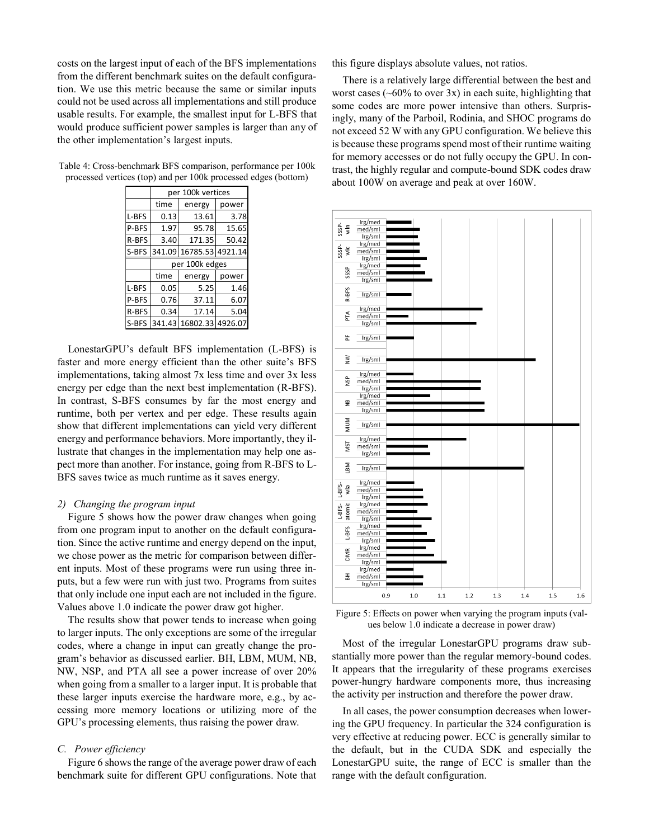costs on the largest input of each of the BFS implementations from the different benchmark suites on the default configuration. We use this metric because the same or similar inputs could not be used across all implementations and still produce usable results. For example, the smallest input for L-BFS that would produce sufficient power samples is larger than any of the other implementation's largest inputs.

<span id="page-7-0"></span>Table 4: Cross-benchmark BFS comparison, performance per 100k processed vertices (top) and per 100k processed edges (bottom)

|       | per 100k vertices |                         |       |  |
|-------|-------------------|-------------------------|-------|--|
|       | time              | energy                  | power |  |
| L-BFS | 0.13              | 13.61                   | 3.78  |  |
| P-BFS | 1.97              | 95.78                   | 15.65 |  |
| R-BFS | 3.40              | 171.35                  | 50.42 |  |
| S-BFS |                   | 341.09 16785.53 4921.14 |       |  |
|       |                   |                         |       |  |
|       |                   | per 100k edges          |       |  |
|       | time              | energy                  | power |  |
| L-BFS | 0.05              | 5.25                    | 1.46  |  |
| P-BFS | 0.76              | 37.11                   | 6.07  |  |
| R-BFS | 0.34              | 17.14                   | 5.04  |  |

LonestarGPU's default BFS implementation (L-BFS) is faster and more energy efficient than the other suite's BFS implementations, taking almost 7x less time and over 3x less energy per edge than the next best implementation (R-BFS). In contrast, S-BFS consumes by far the most energy and runtime, both per vertex and per edge. These results again show that different implementations can yield very different energy and performance behaviors. More importantly, they illustrate that changes in the implementation may help one aspect more than another. For instance, going from R-BFS to L-BFS saves twice as much runtime as it saves energy.

#### *2) Changing the program input*

[Figure 5](#page-7-1) shows how the power draw changes when going from one program input to another on the default configuration. Since the active runtime and energy depend on the input, we chose power as the metric for comparison between different inputs. Most of these programs were run using three inputs, but a few were run with just two. Programs from suites that only include one input each are not included in the figure. Values above 1.0 indicate the power draw got higher.

The results show that power tends to increase when going to larger inputs. The only exceptions are some of the irregular codes, where a change in input can greatly change the program's behavior as discussed earlier. BH, LBM, MUM, NB, NW, NSP, and PTA all see a power increase of over 20% when going from a smaller to a larger input. It is probable that these larger inputs exercise the hardware more, e.g., by accessing more memory locations or utilizing more of the GPU's processing elements, thus raising the power draw.

## *C. Power efficiency*

[Figure 6](#page-8-0) shows the range of the average power draw of each benchmark suite for different GPU configurations. Note that this figure displays absolute values, not ratios.

There is a relatively large differential between the best and worst cases ( $\sim 60\%$  to over 3x) in each suite, highlighting that some codes are more power intensive than others. Surprisingly, many of the Parboil, Rodinia, and SHOC programs do not exceed 52 W with any GPU configuration. We believe this is because these programs spend most of their runtime waiting for memory accesses or do not fully occupy the GPU. In contrast, the highly regular and compute-bound SDK codes draw about 100W on average and peak at over 160W.



<span id="page-7-1"></span>Figure 5: Effects on power when varying the program inputs (values below 1.0 indicate a decrease in power draw)

Most of the irregular LonestarGPU programs draw substantially more power than the regular memory-bound codes. It appears that the irregularity of these programs exercises power-hungry hardware components more, thus increasing the activity per instruction and therefore the power draw.

In all cases, the power consumption decreases when lowering the GPU frequency. In particular the 324 configuration is very effective at reducing power. ECC is generally similar to the default, but in the CUDA SDK and especially the LonestarGPU suite, the range of ECC is smaller than the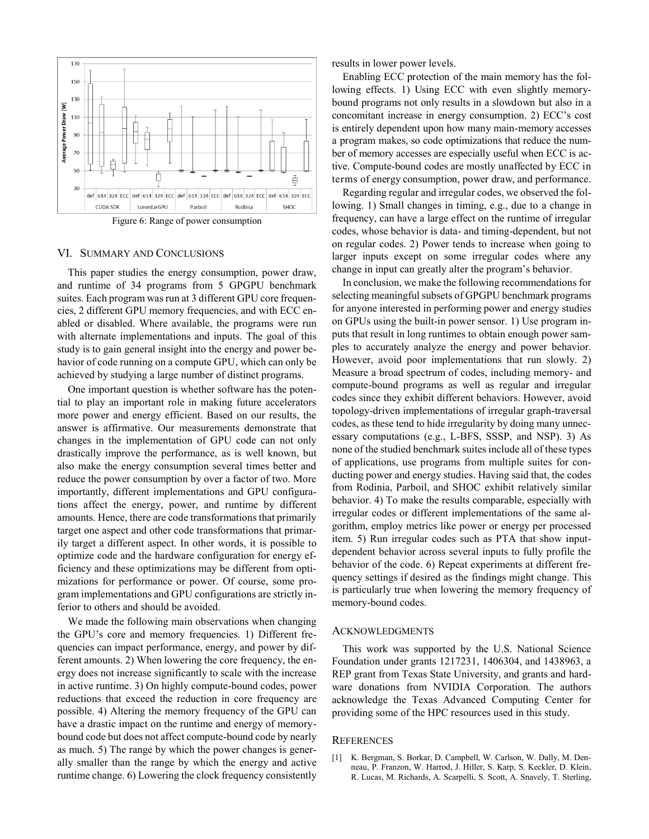

Figure 6: Range of power consumption

## <span id="page-8-0"></span>VI. SUMMARY AND CONCLUSIONS

This paper studies the energy consumption, power draw, and runtime of 34 programs from 5 GPGPU benchmark suites. Each program was run at 3 different GPU core frequencies, 2 different GPU memory frequencies, and with ECC enabled or disabled. Where available, the programs were run with alternate implementations and inputs. The goal of this study is to gain general insight into the energy and power behavior of code running on a compute GPU, which can only be achieved by studying a large number of distinct programs.

One important question is whether software has the potential to play an important role in making future accelerators more power and energy efficient. Based on our results, the answer is affirmative. Our measurements demonstrate that changes in the implementation of GPU code can not only drastically improve the performance, as is well known, but also make the energy consumption several times better and reduce the power consumption by over a factor of two. More importantly, different implementations and GPU configurations affect the energy, power, and runtime by different amounts. Hence, there are code transformations that primarily target one aspect and other code transformations that primarily target a different aspect. In other words, it is possible to optimize code and the hardware configuration for energy efficiency and these optimizations may be different from optimizations for performance or power. Of course, some program implementations and GPU configurations are strictly inferior to others and should be avoided.

We made the following main observations when changing the GPU's core and memory frequencies. 1) Different frequencies can impact performance, energy, and power by different amounts. 2) When lowering the core frequency, the energy does not increase significantly to scale with the increase in active runtime. 3) On highly compute-bound codes, power reductions that exceed the reduction in core frequency are possible. 4) Altering the memory frequency of the GPU can have a drastic impact on the runtime and energy of memorybound code but does not affect compute-bound code by nearly as much. 5) The range by which the power changes is generally smaller than the range by which the energy and active runtime change. 6) Lowering the clock frequency consistently results in lower power levels.

Enabling ECC protection of the main memory has the following effects. 1) Using ECC with even slightly memorybound programs not only results in a slowdown but also in a concomitant increase in energy consumption. 2) ECC's cost is entirely dependent upon how many main-memory accesses a program makes, so code optimizations that reduce the number of memory accesses are especially useful when ECC is active. Compute-bound codes are mostly unaffected by ECC in terms of energy consumption, power draw, and performance.

Regarding regular and irregular codes, we observed the following. 1) Small changes in timing, e.g., due to a change in frequency, can have a large effect on the runtime of irregular codes, whose behavior is data- and timing-dependent, but not on regular codes. 2) Power tends to increase when going to larger inputs except on some irregular codes where any change in input can greatly alter the program's behavior.

In conclusion, we make the following recommendations for selecting meaningful subsets of GPGPU benchmark programs for anyone interested in performing power and energy studies on GPUs using the built-in power sensor. 1) Use program inputs that result in long runtimes to obtain enough power samples to accurately analyze the energy and power behavior. However, avoid poor implementations that run slowly. 2) Measure a broad spectrum of codes, including memory- and compute-bound programs as well as regular and irregular codes since they exhibit different behaviors. However, avoid topology-driven implementations of irregular graph-traversal codes, as these tend to hide irregularity by doing many unnecessary computations (e.g., L-BFS, SSSP, and NSP). 3) As none of the studied benchmark suites include all of these types of applications, use programs from multiple suites for conducting power and energy studies. Having said that, the codes from Rodinia, Parboil, and SHOC exhibit relatively similar behavior. 4) To make the results comparable, especially with irregular codes or different implementations of the same algorithm, employ metrics like power or energy per processed item. 5) Run irregular codes such as PTA that show inputdependent behavior across several inputs to fully profile the behavior of the code. 6) Repeat experiments at different frequency settings if desired as the findings might change. This is particularly true when lowering the memory frequency of memory-bound codes.

#### ACKNOWLEDGMENTS

This work was supported by the U.S. National Science Foundation under grants 1217231, 1406304, and 1438963, a REP grant from Texas State University, and grants and hardware donations from NVIDIA Corporation. The authors acknowledge the Texas Advanced Computing Center for providing some of the HPC resources used in this study.

#### **REFERENCES**

[1] K. Bergman, S. Borkar, D. Campbell, W. Carlson, W. Dally, M. Denneau, P. Franzon, W. Harrod, J. Hiller, S. Karp, S. Keckler, D. Klein, R. Lucas, M. Richards, A. Scarpelli, S. Scott, A. Snavely, T. Sterling,